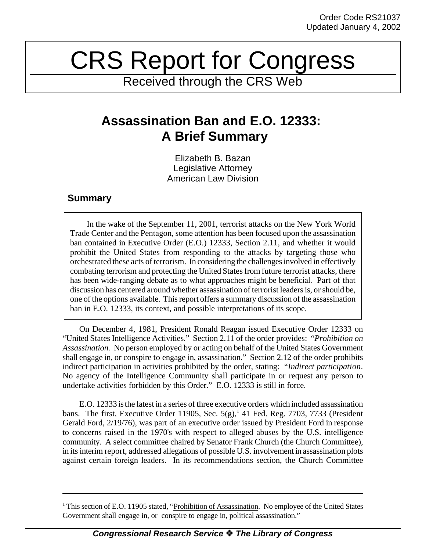## CRS Report for Congress

Received through the CRS Web

## **Assassination Ban and E.O. 12333: A Brief Summary**

Elizabeth B. Bazan Legislative Attorney American Law Division

## **Summary**

In the wake of the September 11, 2001, terrorist attacks on the New York World Trade Center and the Pentagon, some attention has been focused upon the assassination ban contained in Executive Order (E.O.) 12333, Section 2.11, and whether it would prohibit the United States from responding to the attacks by targeting those who orchestrated these acts of terrorism. In considering the challenges involved in effectively combating terrorism and protecting the United Statesfrom future terrorist attacks, there has been wide-ranging debate as to what approaches might be beneficial. Part of that discussion has centered around whether assassination of terrorist leadersis, orshould be, one of the options available. This report offers a summary discussion of the assassination ban in E.O. 12333, its context, and possible interpretations of its scope.

On December 4, 1981, President Ronald Reagan issued Executive Order 12333 on "United States Intelligence Activities." Section 2.11 of the order provides: "*Prohibition on Assassination.* No person employed by or acting on behalf of the United States Government shall engage in, or conspire to engage in, assassination." Section 2.12 of the order prohibits indirect participation in activities prohibited by the order, stating: "*Indirect participation*. No agency of the Intelligence Community shall participate in or request any person to undertake activities forbidden by this Order." E.O. 12333 is still in force.

E.O. 12333 isthe latest in a series of three executive orders which included assassination bans. The first, Executive Order 11905, Sec.  $5(g)$ , 41 Fed. Reg. 7703, 7733 (President Gerald Ford, 2/19/76), was part of an executive order issued by President Ford in response to concerns raised in the 1970's with respect to alleged abuses by the U.S. intelligence community. A select committee chaired by Senator Frank Church (the Church Committee), in its interim report, addressed allegations of possible U.S. involvement in assassination plots against certain foreign leaders. In its recommendations section, the Church Committee

<sup>&</sup>lt;sup>1</sup> This section of E.O. 11905 stated, "Prohibition of Assassination. No employee of the United States Government shall engage in, or conspire to engage in, political assassination."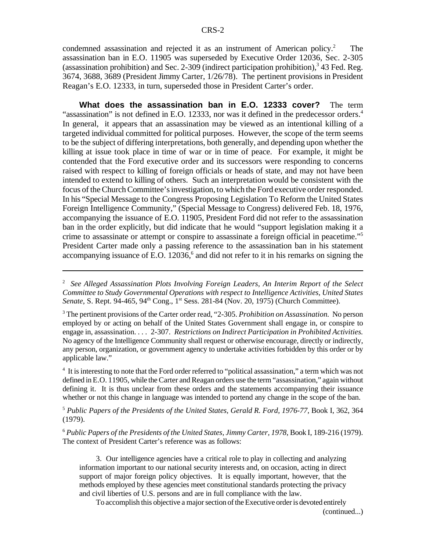condemned assassination and rejected it as an instrument of American policy.<sup>2</sup> The assassination ban in E.O. 11905 was superseded by Executive Order 12036, Sec. 2-305 (assassination prohibition) and Sec. 2-309 (indirect participation prohibition), $3$  43 Fed. Reg. 3674, 3688, 3689 (President Jimmy Carter, 1/26/78). The pertinent provisions in President Reagan's E.O. 12333, in turn, superseded those in President Carter's order.

**What does the assassination ban in E.O. 12333 cover?** The term "assassination" is not defined in E.O. 12333, nor was it defined in the predecessor orders. $4$ In general, it appears that an assassination may be viewed as an intentional killing of a targeted individual committed for political purposes. However, the scope of the term seems to be the subject of differing interpretations, both generally, and depending upon whether the killing at issue took place in time of war or in time of peace. For example, it might be contended that the Ford executive order and its successors were responding to concerns raised with respect to killing of foreign officials or heads of state, and may not have been intended to extend to killing of others. Such an interpretation would be consistent with the focus of the Church Committee's investigation, to which the Ford executive order responded. In his "Special Message to the Congress Proposing Legislation To Reform the United States Foreign Intelligence Community," (Special Message to Congress) delivered Feb. 18, 1976, accompanying the issuance of E.O. 11905, President Ford did not refer to the assassination ban in the order explicitly, but did indicate that he would "support legislation making it a crime to assassinate or attempt or conspire to assassinate a foreign official in peacetime."<sup>5</sup> President Carter made only a passing reference to the assassination ban in his statement accompanying issuance of E.O. 12036,<sup>6</sup> and did not refer to it in his remarks on signing the

2 *See Alleged Assassination Plots Involving Foreign Leaders, An Interim Report of the Select Committee to Study Governmental Operations with respect to Intelligence Activities, United States* Senate, S. Rept. 94-465, 94<sup>th</sup> Cong., 1<sup>st</sup> Sess. 281-84 (Nov. 20, 1975) (Church Committee).

<sup>3</sup> The pertinent provisions of the Carter order read, "2-305. *Prohibition on Assassination.* No person employed by or acting on behalf of the United States Government shall engage in, or conspire to engage in, assassination. . . . 2-307. *Restrictions on Indirect Participation in Prohibited Activities.* No agency of the Intelligence Community shall request or otherwise encourage, directly or indirectly, any person, organization, or government agency to undertake activities forbidden by this order or by applicable law."

<sup>4</sup> It is interesting to note that the Ford order referred to "political assassination," a term which was not defined in E.O. 11905, while the Carter and Reagan orders use the term "assassination," again without defining it. It is thus unclear from these orders and the statements accompanying their issuance whether or not this change in language was intended to portend any change in the scope of the ban.

<sup>5</sup> *Public Papers of the Presidents of the United States, Gerald R. Ford, 1976-77*, Book I, 362, 364 (1979).

<sup>6</sup> *Public Papers of the Presidents of the United States, Jimmy Carter, 1978*, Book I, 189-216 (1979). The context of President Carter's reference was as follows:

3. Our intelligence agencies have a critical role to play in collecting and analyzing information important to our national security interests and, on occasion, acting in direct support of major foreign policy objectives. It is equally important, however, that the methods employed by these agencies meet constitutional standards protecting the privacy and civil liberties of U.S. persons and are in full compliance with the law.

To accomplish this objective a major section of the Executive order is devoted entirely (continued...)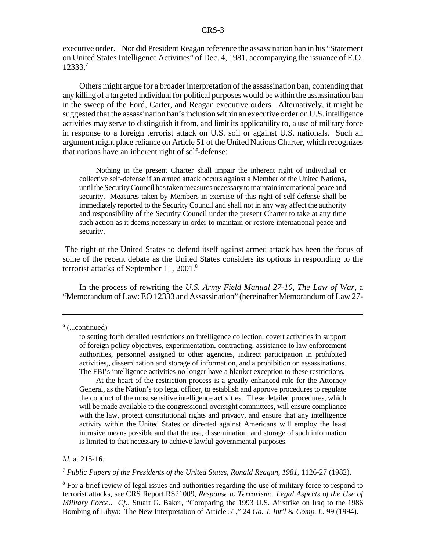executive order. Nor did President Reagan reference the assassination ban in his "Statement on United States Intelligence Activities" of Dec. 4, 1981, accompanying the issuance of E.O. 12333.<sup>7</sup>

Others might argue for a broader interpretation of the assassination ban, contending that any killing of a targeted individual for political purposes would be within the assassination ban in the sweep of the Ford, Carter, and Reagan executive orders. Alternatively, it might be suggested that the assassination ban's inclusion within an executive order on U.S. intelligence activities may serve to distinguish it from, and limit its applicability to, a use of military force in response to a foreign terrorist attack on U.S. soil or against U.S. nationals. Such an argument might place reliance on Article 51 of the United Nations Charter, which recognizes that nations have an inherent right of self-defense:

Nothing in the present Charter shall impair the inherent right of individual or collective self-defense if an armed attack occurs against a Member of the United Nations, until the Security Council has taken measures necessary to maintain international peace and security. Measures taken by Members in exercise of this right of self-defense shall be immediately reported to the Security Council and shall not in any way affect the authority and responsibility of the Security Council under the present Charter to take at any time such action as it deems necessary in order to maintain or restore international peace and security.

The right of the United States to defend itself against armed attack has been the focus of some of the recent debate as the United States considers its options in responding to the terrorist attacks of September 11, 2001.<sup>8</sup>

In the process of rewriting the *U.S. Army Field Manual 27-10, The Law of War,* a "Memorandum of Law: EO 12333 and Assassination" (hereinafter Memorandum of Law 27-

At the heart of the restriction process is a greatly enhanced role for the Attorney General, as the Nation's top legal officer, to establish and approve procedures to regulate the conduct of the most sensitive intelligence activities. These detailed procedures, which will be made available to the congressional oversight committees, will ensure compliance with the law, protect constitutional rights and privacy, and ensure that any intelligence activity within the United States or directed against Americans will employ the least intrusive means possible and that the use, dissemination, and storage of such information is limited to that necessary to achieve lawful governmental purposes.

*Id.* at 215-16.

<sup>7</sup> *Public Papers of the Presidents of the United States, Ronald Reagan, 1981*, 1126-27 (1982).

<sup>8</sup> For a brief review of legal issues and authorities regarding the use of military force to respond to terrorist attacks, see CRS Report RS21009, *Response to Terrorism: Legal Aspects of the Use of Military Force*.. *Cf.*, Stuart G. Baker, "Comparing the 1993 U.S. Airstrike on Iraq to the 1986 Bombing of Libya: The New Interpretation of Article 51," 24 *Ga. J. Int'l & Comp. L.* 99 (1994).

<sup>6</sup> (...continued)

to setting forth detailed restrictions on intelligence collection, covert activities in support of foreign policy objectives, experimentation, contracting, assistance to law enforcement authorities, personnel assigned to other agencies, indirect participation in prohibited activities,, dissemination and storage of information, and a prohibition on assassinations. The FBI's intelligence activities no longer have a blanket exception to these restrictions.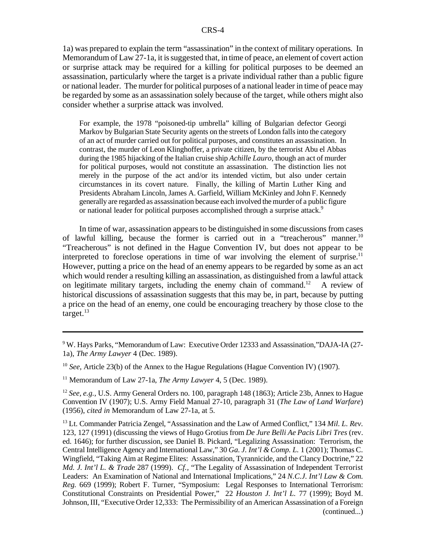1a) was prepared to explain the term "assassination" in the context of military operations*.* In Memorandum of Law 27-1a, it is suggested that, in time of peace, an element of covert action or surprise attack may be required for a killing for political purposes to be deemed an assassination, particularly where the target is a private individual rather than a public figure or national leader. The murder for political purposes of a national leader in time of peace may be regarded by some as an assassination solely because of the target, while others might also consider whether a surprise attack was involved.

For example, the 1978 "poisoned-tip umbrella" killing of Bulgarian defector Georgi Markov by Bulgarian State Security agents on the streets of London fallsinto the category of an act of murder carried out for political purposes, and constitutes an assassination. In contrast, the murder of Leon Klinghoffer, a private citizen, by the terrorist Abu el Abbas during the 1985 hijacking of the Italian cruise ship *Achille Lauro*, though an act of murder for political purposes, would not constitute an assassination. The distinction lies not merely in the purpose of the act and/or its intended victim, but also under certain circumstances in its covert nature. Finally, the killing of Martin Luther King and Presidents Abraham Lincoln, James A. Garfield, William McKinley and John F. Kennedy generally are regarded as assassination because each involved the murder of a public figure or national leader for political purposes accomplished through a surprise attack.<sup>9</sup>

In time of war, assassination appears to be distinguished in some discussionsfrom cases of lawful killing, because the former is carried out in a "treacherous" manner.<sup>10</sup> "Treacherous" is not defined in the Hague Convention IV, but does not appear to be interpreted to foreclose operations in time of war involving the element of surprise.<sup>11</sup> However, putting a price on the head of an enemy appears to be regarded by some as an act which would render a resulting killing an assassination, as distinguished from a lawful attack on legitimate military targets, including the enemy chain of command.<sup>12</sup> A review of historical discussions of assassination suggests that this may be, in part, because by putting a price on the head of an enemy, one could be encouraging treachery by those close to the target. $^{13}$ 

<sup>9</sup> W. Hays Parks, "Memorandum of Law: Executive Order 12333 and Assassination,"DAJA-IA (27- 1a), *The Army Lawyer* 4 (Dec. 1989).

<sup>10</sup> *See*, Article 23(b) of the Annex to the Hague Regulations (Hague Convention IV) (1907).

<sup>11</sup> Memorandum of Law 27-1a, *The Army Lawyer* 4, 5 (Dec. 1989).

<sup>12</sup> *See, e.g.,* U.S. Army General Orders no. 100, paragraph 148 (1863); Article 23b, Annex to Hague Convention IV (1907); U.S. Army Field Manual 27-10, paragraph 31 (*The Law of Land Warfare*) (1956), *cited in* Memorandum of Law 27-1a, at 5.

<sup>13</sup> Lt. Commander Patricia Zengel, "Assassination and the Law of Armed Conflict," 134 *Mil. L. Rev*. 123, 127 (1991) (discussing the views of Hugo Grotius from *De Jure Belli Ae Pacis Libri Tres* (rev. ed. 1646); for further discussion, see Daniel B. Pickard, "Legalizing Assassination: Terrorism, the Central Intelligence Agency and International Law," 30 *Ga. J. Int'l & Comp. L.* 1 (2001); Thomas C. Wingfield, "Taking Aim at Regime Elites: Assassination, Tyrannicide, and the Clancy Doctrine," 22 *Md. J. Int'l L. & Trade* 287 (1999). *Cf.,* "The Legality of Assassination of Independent Terrorist Leaders: An Examination of National and International Implications," 24 *N.C.J. Int'l Law & Com. Reg.* 669 (1999); Robert F. Turner, "Symposium: Legal Responses to International Terrorism: Constitutional Constraints on Presidential Power," 22 *Houston J. Int'l L.* 77 (1999); Boyd M. Johnson,III, "Executive Order 12,333: The Permissibility of an American Assassination of a Foreign (continued...)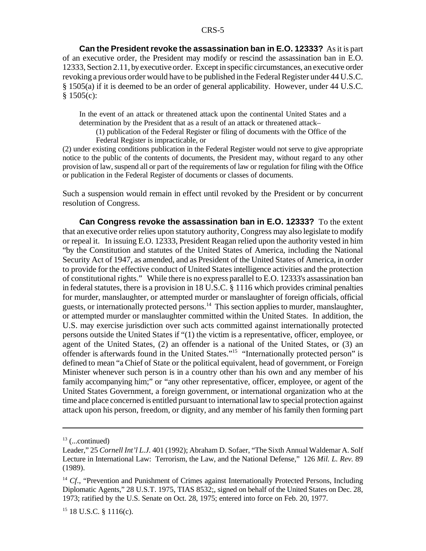**Can the President revoke the assassination ban in E.O. 12333?** As it is part of an executive order, the President may modify or rescind the assassination ban in E.O. 12333, Section 2.11, byexecutive order. Except in specific circumstances, an executive order revoking a previous order would have to be published in the Federal Register under 44 U.S.C. § 1505(a) if it is deemed to be an order of general applicability. However, under 44 U.S.C. § 1505(c):

In the event of an attack or threatened attack upon the continental United States and a determination by the President that as a result of an attack or threatened attack–

(1) publication of the Federal Register or filing of documents with the Office of the Federal Register is impracticable, or

(2) under existing conditions publication in the Federal Register would not serve to give appropriate notice to the public of the contents of documents, the President may, without regard to any other provision of law, suspend all or part of the requirements of law or regulation for filing with the Office or publication in the Federal Register of documents or classes of documents.

Such a suspension would remain in effect until revoked by the President or by concurrent resolution of Congress.

**Can Congress revoke the assassination ban in E.O. 12333?** To the extent that an executive order relies upon statutory authority, Congress may also legislate to modify or repeal it. In issuing E.O. 12333, President Reagan relied upon the authority vested in him "by the Constitution and statutes of the United States of America, including the National Security Act of 1947, as amended, and as President of the United States of America, in order to provide for the effective conduct of United States intelligence activities and the protection of constitutional rights." While there is no express parallel to E.O. 12333's assassination ban in federal statutes, there is a provision in  $18$  U.S.C.  $\S$  1116 which provides criminal penalties for murder, manslaughter, or attempted murder or manslaughter of foreign officials, official guests, or internationally protected persons.<sup>14</sup> This section applies to murder, manslaughter, or attempted murder or manslaughter committed within the United States. In addition, the U.S. may exercise jurisdiction over such acts committed against internationally protected persons outside the United States if "(1) the victim is a representative, officer, employee, or agent of the United States, (2) an offender is a national of the United States, or (3) an offender is afterwards found in the United States."<sup>15</sup> "Internationally protected person" is defined to mean "a Chief of State or the political equivalent, head of government, or Foreign Minister whenever such person is in a country other than his own and any member of his family accompanying him;" or "any other representative, officer, employee, or agent of the United States Government, a foreign government, or international organization who at the time and place concerned is entitled pursuant to international law to special protection against attack upon his person, freedom, or dignity, and any member of his family then forming part

 $13$  (...continued)

Leader," 25 *Cornell Int'l L.J.* 401 (1992); Abraham D. Sofaer, "The Sixth Annual Waldemar A. Solf Lecture in International Law: Terrorism, the Law, and the National Defense," 126 *Mil. L. Rev.* 89 (1989).

<sup>&</sup>lt;sup>14</sup> *Cf.*, "Prevention and Punishment of Crimes against Internationally Protected Persons, Including Diplomatic Agents," 28 U.S.T. 1975, TIAS 8532;, signed on behalf of the United States on Dec. 28, 1973; ratified by the U.S. Senate on Oct. 28, 1975; entered into force on Feb. 20, 1977.

 $15$  18 U.S.C. § 1116(c).